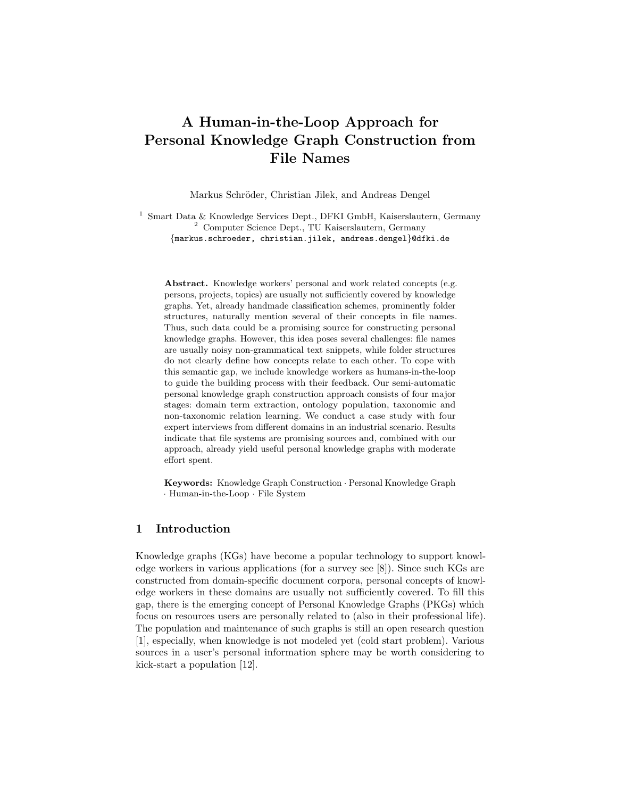# A Human-in-the-Loop Approach for Personal Knowledge Graph Construction from File Names

Markus Schröder, Christian Jilek, and Andreas Dengel

<sup>1</sup> Smart Data & Knowledge Services Dept., DFKI GmbH, Kaiserslautern, Germany <sup>2</sup> Computer Science Dept., TU Kaiserslautern, Germany {markus.schroeder, christian.jilek, andreas.dengel}@dfki.de

Abstract. Knowledge workers' personal and work related concepts (e.g. persons, projects, topics) are usually not sufficiently covered by knowledge graphs. Yet, already handmade classification schemes, prominently folder structures, naturally mention several of their concepts in file names. Thus, such data could be a promising source for constructing personal knowledge graphs. However, this idea poses several challenges: file names are usually noisy non-grammatical text snippets, while folder structures do not clearly define how concepts relate to each other. To cope with this semantic gap, we include knowledge workers as humans-in-the-loop to guide the building process with their feedback. Our semi-automatic personal knowledge graph construction approach consists of four major stages: domain term extraction, ontology population, taxonomic and non-taxonomic relation learning. We conduct a case study with four expert interviews from different domains in an industrial scenario. Results indicate that file systems are promising sources and, combined with our approach, already yield useful personal knowledge graphs with moderate effort spent.

Keywords: Knowledge Graph Construction · Personal Knowledge Graph · Human-in-the-Loop · File System

# 1 Introduction

Knowledge graphs (KGs) have become a popular technology to support knowledge workers in various applications (for a survey see [\[8\]](#page-14-0)). Since such KGs are constructed from domain-specific document corpora, personal concepts of knowledge workers in these domains are usually not sufficiently covered. To fill this gap, there is the emerging concept of Personal Knowledge Graphs (PKGs) which focus on resources users are personally related to (also in their professional life). The population and maintenance of such graphs is still an open research question [\[1\]](#page-13-0), especially, when knowledge is not modeled yet (cold start problem). Various sources in a user's personal information sphere may be worth considering to kick-start a population [\[12\]](#page-14-1).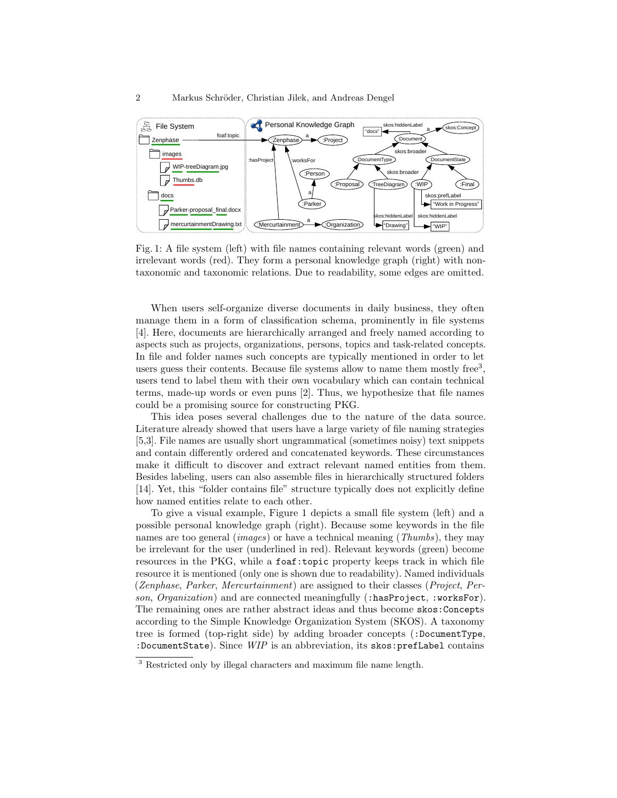<span id="page-1-1"></span>

Fig. 1: A file system (left) with file names containing relevant words (green) and irrelevant words (red). They form a personal knowledge graph (right) with nontaxonomic and taxonomic relations. Due to readability, some edges are omitted.

When users self-organize diverse documents in daily business, they often manage them in a form of classification schema, prominently in file systems [\[4\]](#page-14-2). Here, documents are hierarchically arranged and freely named according to aspects such as projects, organizations, persons, topics and task-related concepts. In file and folder names such concepts are typically mentioned in order to let users guess their contents. Because file systems allow to name them mostly free<sup>[3](#page-1-0)</sup>, users tend to label them with their own vocabulary which can contain technical terms, made-up words or even puns [\[2\]](#page-13-1). Thus, we hypothesize that file names could be a promising source for constructing PKG.

This idea poses several challenges due to the nature of the data source. Literature already showed that users have a large variety of file naming strategies [\[5](#page-14-3)[,3\]](#page-14-4). File names are usually short ungrammatical (sometimes noisy) text snippets and contain differently ordered and concatenated keywords. These circumstances make it difficult to discover and extract relevant named entities from them. Besides labeling, users can also assemble files in hierarchically structured folders [\[14\]](#page-14-5). Yet, this "folder contains file" structure typically does not explicitly define how named entities relate to each other.

To give a visual example, Figure [1](#page-1-1) depicts a small file system (left) and a possible personal knowledge graph (right). Because some keywords in the file names are too general *(images)* or have a technical meaning *(Thumbs)*, they may be irrelevant for the user (underlined in red). Relevant keywords (green) become resources in the PKG, while a foaf:topic property keeps track in which file resource it is mentioned (only one is shown due to readability). Named individuals (Zenphase, Parker, Mercurtainment) are assigned to their classes (Project, Person, Organization) and are connected meaningfully (:hasProject, :worksFor). The remaining ones are rather abstract ideas and thus become skos:Concepts according to the Simple Knowledge Organization System (SKOS). A taxonomy tree is formed (top-right side) by adding broader concepts (:DocumentType, :DocumentState). Since WIP is an abbreviation, its skos:prefLabel contains

<span id="page-1-0"></span><sup>&</sup>lt;sup>3</sup> Restricted only by illegal characters and maximum file name length.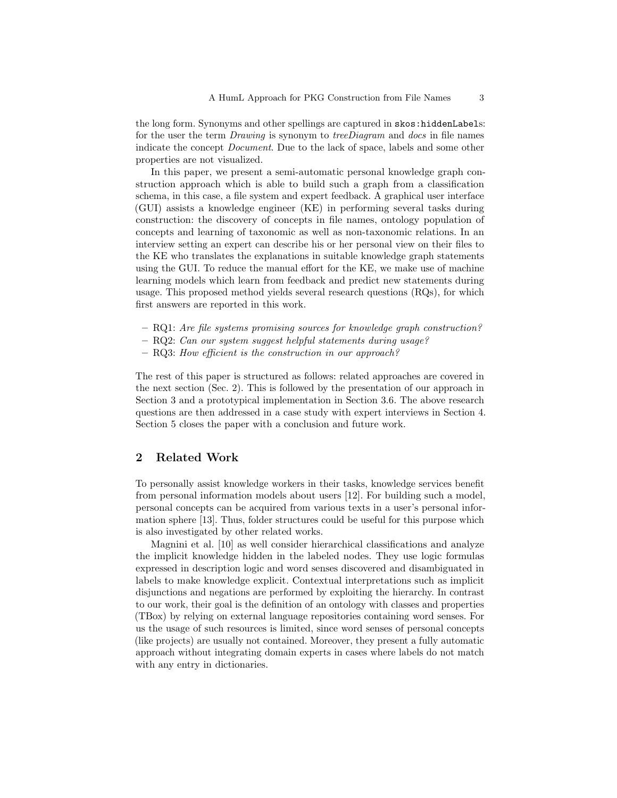the long form. Synonyms and other spellings are captured in skos:hiddenLabels: for the user the term *Drawing* is synonym to *treeDiagram* and *docs* in file names indicate the concept Document. Due to the lack of space, labels and some other properties are not visualized.

In this paper, we present a semi-automatic personal knowledge graph construction approach which is able to build such a graph from a classification schema, in this case, a file system and expert feedback. A graphical user interface (GUI) assists a knowledge engineer (KE) in performing several tasks during construction: the discovery of concepts in file names, ontology population of concepts and learning of taxonomic as well as non-taxonomic relations. In an interview setting an expert can describe his or her personal view on their files to the KE who translates the explanations in suitable knowledge graph statements using the GUI. To reduce the manual effort for the KE, we make use of machine learning models which learn from feedback and predict new statements during usage. This proposed method yields several research questions (RQs), for which first answers are reported in this work.

- RQ1: Are file systems promising sources for knowledge graph construction?
- RQ2: Can our system suggest helpful statements during usage?
- RQ3: How efficient is the construction in our approach?

The rest of this paper is structured as follows: related approaches are covered in the next section (Sec. [2\)](#page-2-0). This is followed by the presentation of our approach in Section [3](#page-3-0) and a prototypical implementation in Section [3.6.](#page-6-0) The above research questions are then addressed in a case study with expert interviews in Section [4.](#page-7-0) Section [5](#page-13-2) closes the paper with a conclusion and future work.

# <span id="page-2-0"></span>2 Related Work

To personally assist knowledge workers in their tasks, knowledge services benefit from personal information models about users [\[12\]](#page-14-1). For building such a model, personal concepts can be acquired from various texts in a user's personal information sphere [\[13\]](#page-14-6). Thus, folder structures could be useful for this purpose which is also investigated by other related works.

Magnini et al. [\[10\]](#page-14-7) as well consider hierarchical classifications and analyze the implicit knowledge hidden in the labeled nodes. They use logic formulas expressed in description logic and word senses discovered and disambiguated in labels to make knowledge explicit. Contextual interpretations such as implicit disjunctions and negations are performed by exploiting the hierarchy. In contrast to our work, their goal is the definition of an ontology with classes and properties (TBox) by relying on external language repositories containing word senses. For us the usage of such resources is limited, since word senses of personal concepts (like projects) are usually not contained. Moreover, they present a fully automatic approach without integrating domain experts in cases where labels do not match with any entry in dictionaries.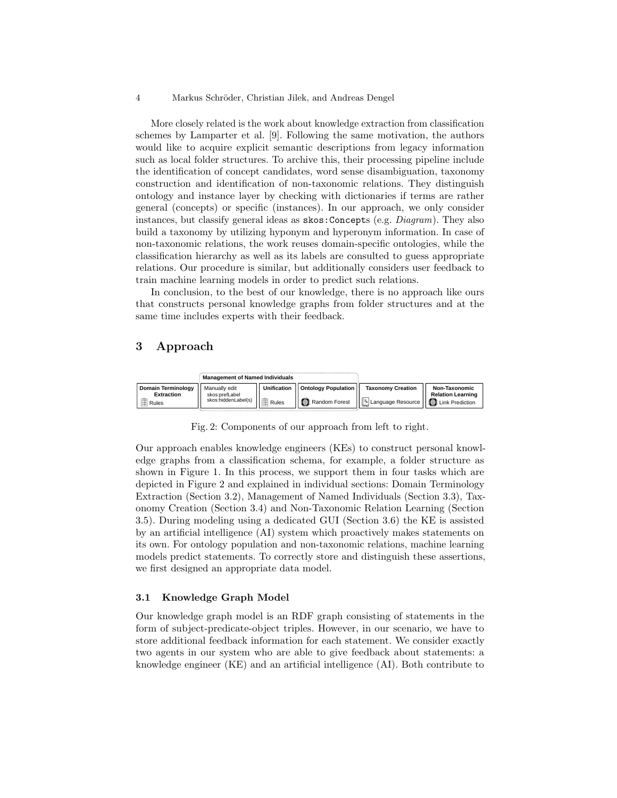More closely related is the work about knowledge extraction from classification schemes by Lamparter et al. [\[9\]](#page-14-8). Following the same motivation, the authors would like to acquire explicit semantic descriptions from legacy information such as local folder structures. To archive this, their processing pipeline include the identification of concept candidates, word sense disambiguation, taxonomy construction and identification of non-taxonomic relations. They distinguish ontology and instance layer by checking with dictionaries if terms are rather general (concepts) or specific (instances). In our approach, we only consider instances, but classify general ideas as skos:Concepts (e.g. Diagram). They also build a taxonomy by utilizing hyponym and hyperonym information. In case of non-taxonomic relations, the work reuses domain-specific ontologies, while the classification hierarchy as well as its labels are consulted to guess appropriate relations. Our procedure is similar, but additionally considers user feedback to train machine learning models in order to predict such relations.

In conclusion, to the best of our knowledge, there is no approach like ours that constructs personal knowledge graphs from folder structures and at the same time includes experts with their feedback.

# <span id="page-3-0"></span>3 Approach

<span id="page-3-1"></span>

Fig. 2: Components of our approach from left to right.

Our approach enables knowledge engineers (KEs) to construct personal knowledge graphs from a classification schema, for example, a folder structure as shown in Figure [1.](#page-1-1) In this process, we support them in four tasks which are depicted in Figure [2](#page-3-1) and explained in individual sections: Domain Terminology Extraction (Section [3.2\)](#page-4-0), Management of Named Individuals (Section [3.3\)](#page-4-1), Taxonomy Creation (Section [3.4\)](#page-5-0) and Non-Taxonomic Relation Learning (Section [3.5\)](#page-6-1). During modeling using a dedicated GUI (Section [3.6\)](#page-6-0) the KE is assisted by an artificial intelligence (AI) system which proactively makes statements on its own. For ontology population and non-taxonomic relations, machine learning models predict statements. To correctly store and distinguish these assertions, we first designed an appropriate data model.

### <span id="page-3-2"></span>3.1 Knowledge Graph Model

Our knowledge graph model is an RDF graph consisting of statements in the form of subject-predicate-object triples. However, in our scenario, we have to store additional feedback information for each statement. We consider exactly two agents in our system who are able to give feedback about statements: a knowledge engineer (KE) and an artificial intelligence (AI). Both contribute to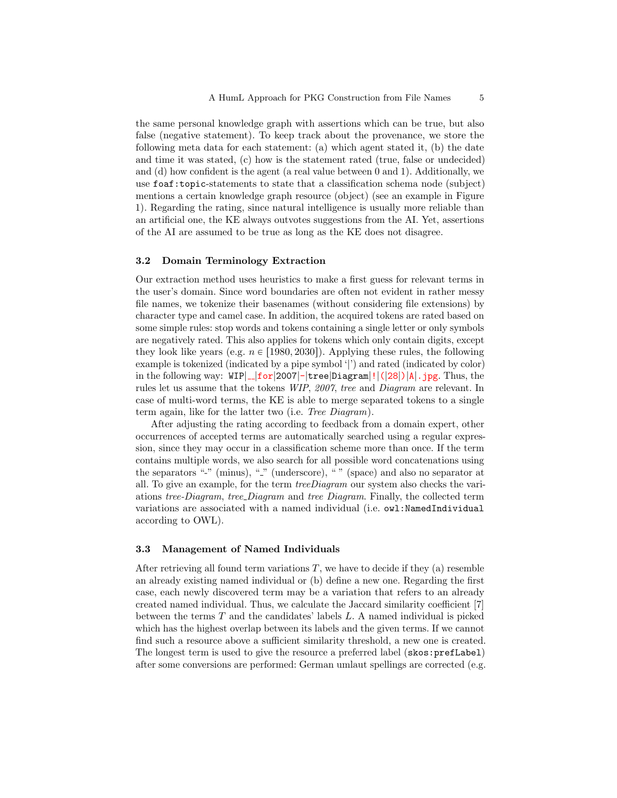the same personal knowledge graph with assertions which can be true, but also false (negative statement). To keep track about the provenance, we store the following meta data for each statement: (a) which agent stated it, (b) the date and time it was stated, (c) how is the statement rated (true, false or undecided) and (d) how confident is the agent (a real value between 0 and 1). Additionally, we use foaf:topic-statements to state that a classification schema node (subject) mentions a certain knowledge graph resource (object) (see an example in Figure [1\)](#page-1-1). Regarding the rating, since natural intelligence is usually more reliable than an artificial one, the KE always outvotes suggestions from the AI. Yet, assertions of the AI are assumed to be true as long as the KE does not disagree.

## <span id="page-4-0"></span>3.2 Domain Terminology Extraction

Our extraction method uses heuristics to make a first guess for relevant terms in the user's domain. Since word boundaries are often not evident in rather messy file names, we tokenize their basenames (without considering file extensions) by character type and camel case. In addition, the acquired tokens are rated based on some simple rules: stop words and tokens containing a single letter or only symbols are negatively rated. This also applies for tokens which only contain digits, except they look like years (e.g.  $n \in [1980, 2030]$ ). Applying these rules, the following example is tokenized (indicated by a pipe symbol '|') and rated (indicated by color) in the following way:  $\text{WIP}\left[-\frac{1}{2007}-\frac{1}{2007}\right]$  +  $\text{tree}\left[\text{Diagram}\right]!$  ([28]) |A|.jpg. Thus, the rules let us assume that the tokens WIP, 2007, tree and Diagram are relevant. In case of multi-word terms, the KE is able to merge separated tokens to a single term again, like for the latter two (i.e. Tree Diagram).

After adjusting the rating according to feedback from a domain expert, other occurrences of accepted terms are automatically searched using a regular expression, since they may occur in a classification scheme more than once. If the term contains multiple words, we also search for all possible word concatenations using the separators "-" (minus), "-" (underscore), " " (space) and also no separator at all. To give an example, for the term treeDiagram our system also checks the variations tree-Diagram, tree Diagram and tree Diagram. Finally, the collected term variations are associated with a named individual (i.e. owl:NamedIndividual according to OWL).

### <span id="page-4-1"></span>3.3 Management of Named Individuals

After retrieving all found term variations  $T$ , we have to decide if they (a) resemble an already existing named individual or (b) define a new one. Regarding the first case, each newly discovered term may be a variation that refers to an already created named individual. Thus, we calculate the Jaccard similarity coefficient [\[7\]](#page-14-9) between the terms  $T$  and the candidates' labels  $L$ . A named individual is picked which has the highest overlap between its labels and the given terms. If we cannot find such a resource above a sufficient similarity threshold, a new one is created. The longest term is used to give the resource a preferred label (skos:prefLabel) after some conversions are performed: German umlaut spellings are corrected (e.g.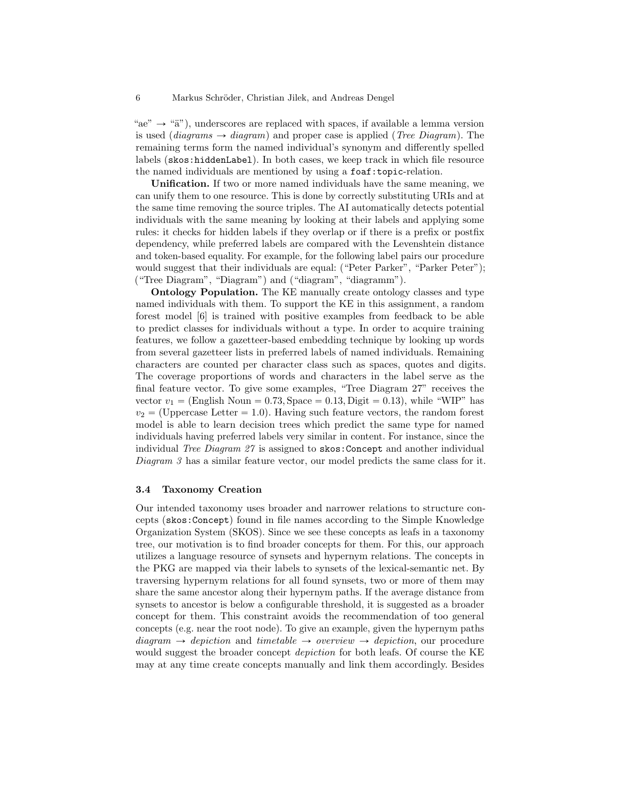"ae"  $\rightarrow$  "a"), underscores are replaced with spaces, if available a lemma version is used (diagrams  $\rightarrow$  diagram) and proper case is applied (Tree Diagram). The remaining terms form the named individual's synonym and differently spelled labels (skos:hiddenLabel). In both cases, we keep track in which file resource the named individuals are mentioned by using a foaf:topic-relation.

Unification. If two or more named individuals have the same meaning, we can unify them to one resource. This is done by correctly substituting URIs and at the same time removing the source triples. The AI automatically detects potential individuals with the same meaning by looking at their labels and applying some rules: it checks for hidden labels if they overlap or if there is a prefix or postfix dependency, while preferred labels are compared with the Levenshtein distance and token-based equality. For example, for the following label pairs our procedure would suggest that their individuals are equal: ("Peter Parker", "Parker Peter"); ("Tree Diagram", "Diagram") and ("diagram", "diagramm").

Ontology Population. The KE manually create ontology classes and type named individuals with them. To support the KE in this assignment, a random forest model [\[6\]](#page-14-10) is trained with positive examples from feedback to be able to predict classes for individuals without a type. In order to acquire training features, we follow a gazetteer-based embedding technique by looking up words from several gazetteer lists in preferred labels of named individuals. Remaining characters are counted per character class such as spaces, quotes and digits. The coverage proportions of words and characters in the label serve as the final feature vector. To give some examples, "Tree Diagram 27" receives the vector  $v_1$  = (English Noun = 0.73, Space = 0.13, Digit = 0.13), while "WIP" has  $v_2$  = (Uppercase Letter = 1.0). Having such feature vectors, the random forest model is able to learn decision trees which predict the same type for named individuals having preferred labels very similar in content. For instance, since the individual Tree Diagram 27 is assigned to skos: Concept and another individual Diagram 3 has a similar feature vector, our model predicts the same class for it.

## <span id="page-5-0"></span>3.4 Taxonomy Creation

Our intended taxonomy uses broader and narrower relations to structure concepts (skos:Concept) found in file names according to the Simple Knowledge Organization System (SKOS). Since we see these concepts as leafs in a taxonomy tree, our motivation is to find broader concepts for them. For this, our approach utilizes a language resource of synsets and hypernym relations. The concepts in the PKG are mapped via their labels to synsets of the lexical-semantic net. By traversing hypernym relations for all found synsets, two or more of them may share the same ancestor along their hypernym paths. If the average distance from synsets to ancestor is below a configurable threshold, it is suggested as a broader concept for them. This constraint avoids the recommendation of too general concepts (e.g. near the root node). To give an example, given the hypernym paths  $diagram \rightarrow depiction$  and timetable  $\rightarrow overview \rightarrow depiction$ , our procedure would suggest the broader concept depiction for both leafs. Of course the KE may at any time create concepts manually and link them accordingly. Besides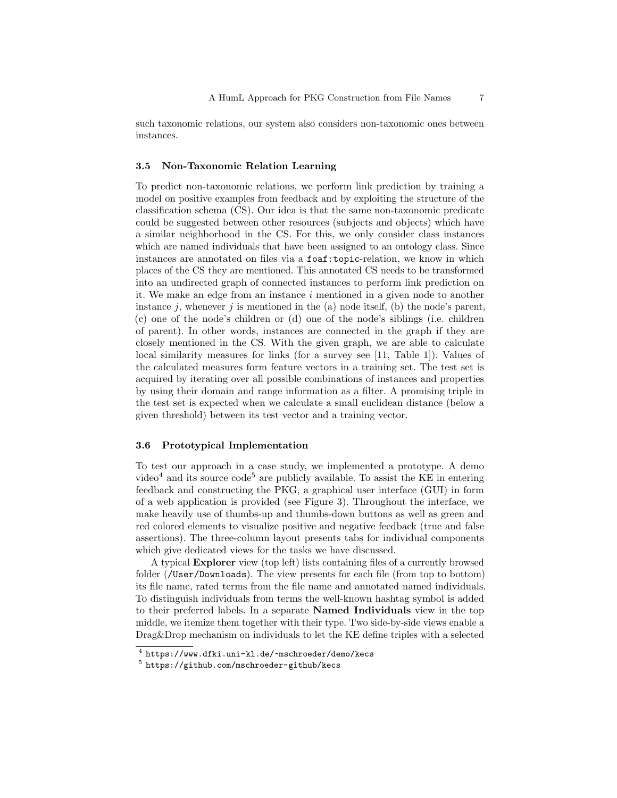such taxonomic relations, our system also considers non-taxonomic ones between instances.

### <span id="page-6-1"></span>3.5 Non-Taxonomic Relation Learning

To predict non-taxonomic relations, we perform link prediction by training a model on positive examples from feedback and by exploiting the structure of the classification schema (CS). Our idea is that the same non-taxonomic predicate could be suggested between other resources (subjects and objects) which have a similar neighborhood in the CS. For this, we only consider class instances which are named individuals that have been assigned to an ontology class. Since instances are annotated on files via a foaf:topic-relation, we know in which places of the CS they are mentioned. This annotated CS needs to be transformed into an undirected graph of connected instances to perform link prediction on it. We make an edge from an instance  $i$  mentioned in a given node to another instance j, whenever j is mentioned in the  $(a)$  node itself,  $(b)$  the node's parent, (c) one of the node's children or (d) one of the node's siblings (i.e. children of parent). In other words, instances are connected in the graph if they are closely mentioned in the CS. With the given graph, we are able to calculate local similarity measures for links (for a survey see [\[11,](#page-14-11) Table 1]). Values of the calculated measures form feature vectors in a training set. The test set is acquired by iterating over all possible combinations of instances and properties by using their domain and range information as a filter. A promising triple in the test set is expected when we calculate a small euclidean distance (below a given threshold) between its test vector and a training vector.

#### <span id="page-6-0"></span>3.6 Prototypical Implementation

To test our approach in a case study, we implemented a prototype. A demo video<sup>[4](#page-6-2)</sup> and its source code<sup>[5](#page-6-3)</sup> are publicly available. To assist the KE in entering feedback and constructing the PKG, a graphical user interface (GUI) in form of a web application is provided (see Figure [3\)](#page-7-1). Throughout the interface, we make heavily use of thumbs-up and thumbs-down buttons as well as green and red colored elements to visualize positive and negative feedback (true and false assertions). The three-column layout presents tabs for individual components which give dedicated views for the tasks we have discussed.

A typical Explorer view (top left) lists containing files of a currently browsed folder (/User/Downloads). The view presents for each file (from top to bottom) its file name, rated terms from the file name and annotated named individuals. To distinguish individuals from terms the well-known hashtag symbol is added to their preferred labels. In a separate Named Individuals view in the top middle, we itemize them together with their type. Two side-by-side views enable a Drag&Drop mechanism on individuals to let the KE define triples with a selected

<span id="page-6-2"></span> $\frac{4}{\pi}$  <https://www.dfki.uni-kl.de/~mschroeder/demo/kecs>

<span id="page-6-3"></span><sup>5</sup> <https://github.com/mschroeder-github/kecs>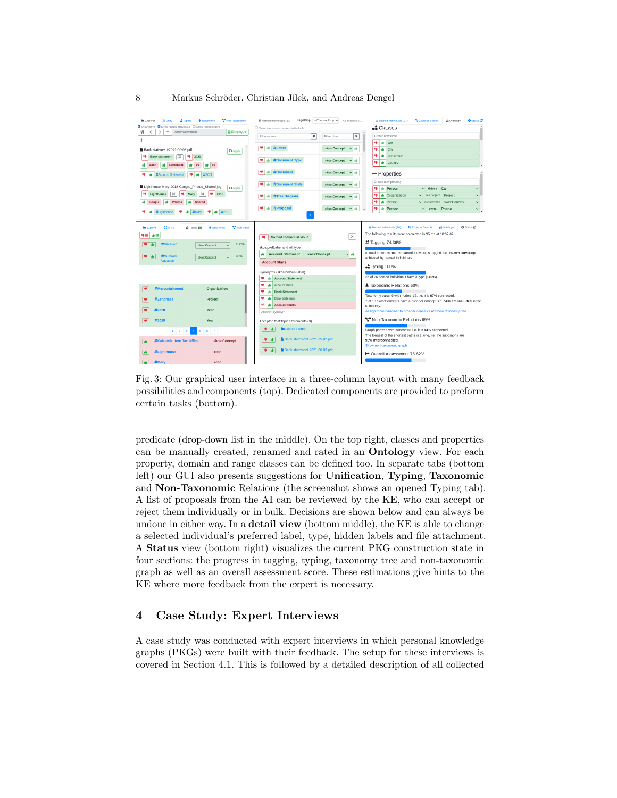<span id="page-7-1"></span>

Fig. 3: Our graphical user interface in a three-column layout with many feedback possibilities and components (top). Dedicated components are provided to preform certain tasks (bottom).

predicate (drop-down list in the middle). On the top right, classes and properties can be manually created, renamed and rated in an Ontology view. For each property, domain and range classes can be defined too. In separate tabs (bottom left) our GUI also presents suggestions for Unification, Typing, Taxonomic and Non-Taxonomic Relations (the screenshot shows an opened Typing tab). A list of proposals from the AI can be reviewed by the KE, who can accept or reject them individually or in bulk. Decisions are shown below and can always be undone in either way. In a **detail view** (bottom middle), the KE is able to change a selected individual's preferred label, type, hidden labels and file attachment. A Status view (bottom right) visualizes the current PKG construction state in four sections: the progress in tagging, typing, taxonomy tree and non-taxonomic graph as well as an overall assessment score. These estimations give hints to the KE where more feedback from the expert is necessary.

# <span id="page-7-0"></span>4 Case Study: Expert Interviews

A case study was conducted with expert interviews in which personal knowledge graphs (PKGs) were built with their feedback. The setup for these interviews is covered in Section [4.1.](#page-8-0) This is followed by a detailed description of all collected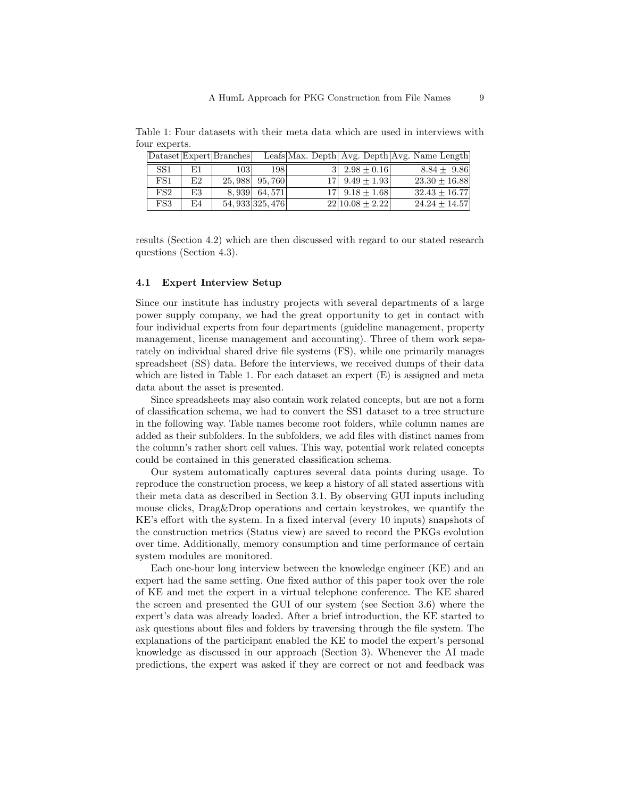<span id="page-8-1"></span>Table 1: Four datasets with their meta data which are used in interviews with four experts.

|                 |    | Dataset Expert Branches |                  |                    | Leafs Max. Depth  Avg. Depth  Avg. Name Length |
|-----------------|----|-------------------------|------------------|--------------------|------------------------------------------------|
| SS <sub>1</sub> | E1 | 1031                    | 198              | $3 2.98+0.16 $     | $8.84 + 9.86$                                  |
| FS1             | E2 |                         | 25, 988 95, 760  | $17 $ 9.49 + 1.93  | $23.30 + 16.88$                                |
| FS <sub>2</sub> | E3 |                         | 8,939 64,571     | $17 $ 9.18 + 1.68  | $32.43 + 16.77$                                |
| FS3             | E4 |                         | 54, 933 325, 476 | $22 10.08 + 2.22 $ | $24.24 + 14.57$                                |

results (Section [4.2\)](#page-9-0) which are then discussed with regard to our stated research questions (Section [4.3\)](#page-10-0).

### <span id="page-8-0"></span>4.1 Expert Interview Setup

Since our institute has industry projects with several departments of a large power supply company, we had the great opportunity to get in contact with four individual experts from four departments (guideline management, property management, license management and accounting). Three of them work separately on individual shared drive file systems (FS), while one primarily manages spreadsheet (SS) data. Before the interviews, we received dumps of their data which are listed in Table [1.](#page-8-1) For each dataset an expert (E) is assigned and meta data about the asset is presented.

Since spreadsheets may also contain work related concepts, but are not a form of classification schema, we had to convert the SS1 dataset to a tree structure in the following way. Table names become root folders, while column names are added as their subfolders. In the subfolders, we add files with distinct names from the column's rather short cell values. This way, potential work related concepts could be contained in this generated classification schema.

Our system automatically captures several data points during usage. To reproduce the construction process, we keep a history of all stated assertions with their meta data as described in Section [3.1.](#page-3-2) By observing GUI inputs including mouse clicks, Drag&Drop operations and certain keystrokes, we quantify the KE's effort with the system. In a fixed interval (every 10 inputs) snapshots of the construction metrics (Status view) are saved to record the PKGs evolution over time. Additionally, memory consumption and time performance of certain system modules are monitored.

Each one-hour long interview between the knowledge engineer (KE) and an expert had the same setting. One fixed author of this paper took over the role of KE and met the expert in a virtual telephone conference. The KE shared the screen and presented the GUI of our system (see Section [3.6\)](#page-6-0) where the expert's data was already loaded. After a brief introduction, the KE started to ask questions about files and folders by traversing through the file system. The explanations of the participant enabled the KE to model the expert's personal knowledge as discussed in our approach (Section [3\)](#page-3-0). Whenever the AI made predictions, the expert was asked if they are correct or not and feedback was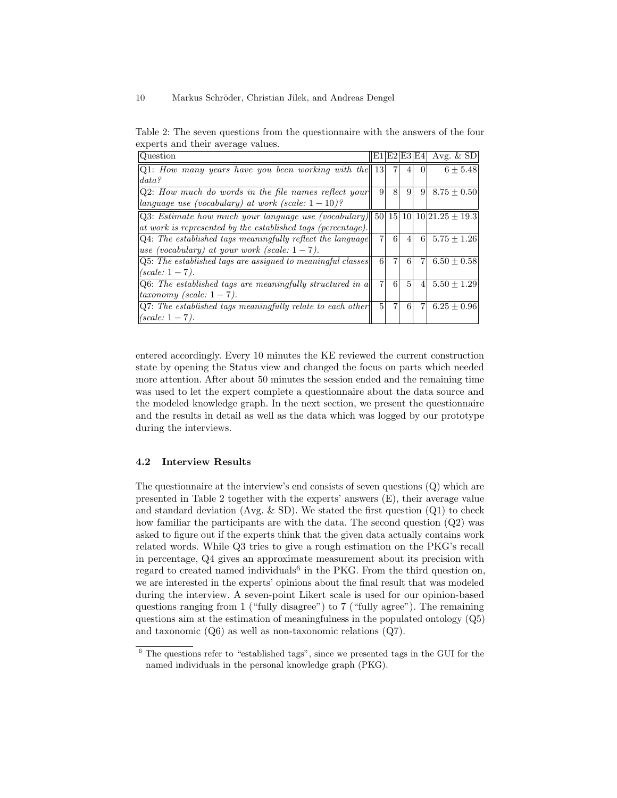<span id="page-9-1"></span>Table 2: The seven questions from the questionnaire with the answers of the four experts and their average values.

| Question                                                                                        |                 |                | E1 E2 E3 E4     |                | Avg. $&$ SD     |
|-------------------------------------------------------------------------------------------------|-----------------|----------------|-----------------|----------------|-----------------|
| $ Q1: How many years have you been working with the   13  $                                     |                 | 7              | 4               | $\Omega$       | $6 + 5.48$      |
| data?                                                                                           |                 |                |                 |                |                 |
| $Q2$ : How much do words in the file names reflect your                                         | $\vert 9 \vert$ | 8              | $\overline{9}$  | 9 <sup>1</sup> | $8.75 + 0.50$   |
| language use (vocabulary) at work (scale: $1-10$ )?                                             |                 |                |                 |                |                 |
| Q3: <i>Estimate how much your language use (vocabulary)</i>    50  15  10  10  21.25 $\pm$ 19.3 |                 |                |                 |                |                 |
| at work is represented by the established tags (percentage).                                    |                 |                |                 |                |                 |
| $Q4$ : The established tags meaningfully reflect the language                                   | $\overline{7}$  | 6              | $\overline{4}$  | 61             | $5.75 + 1.26$   |
| use (vocabulary) at your work (scale: $1-7$ ).                                                  |                 |                |                 |                |                 |
| $Q5:$ The established tags are assigned to meaningful classes                                   | 6               | $\overline{7}$ | 6               | $\overline{7}$ | $6.50 + 0.58$   |
| $(scale: 1 - 7)$ .                                                                              |                 |                |                 |                |                 |
| Q6: The established tags are meaningfully structured in a                                       | 7               | 6              | $\vert 5 \vert$ | $\overline{4}$ | $5.50 \pm 1.29$ |
| $taxonomy$ (scale: $1-7$ ).                                                                     |                 |                |                 |                |                 |
| $ Q7:$ The established tags meaningfully relate to each other                                   | $\vert 5 \vert$ | 7 <sub>1</sub> | 6               | $\overline{7}$ | $6.25 + 0.96$   |
| $  (scale: 1 - 7).$                                                                             |                 |                |                 |                |                 |

entered accordingly. Every 10 minutes the KE reviewed the current construction state by opening the Status view and changed the focus on parts which needed more attention. After about 50 minutes the session ended and the remaining time was used to let the expert complete a questionnaire about the data source and the modeled knowledge graph. In the next section, we present the questionnaire and the results in detail as well as the data which was logged by our prototype during the interviews.

### <span id="page-9-0"></span>4.2 Interview Results

The questionnaire at the interview's end consists of seven questions (Q) which are presented in Table [2](#page-9-1) together with the experts' answers (E), their average value and standard deviation (Avg.  $\&$  SD). We stated the first question (Q1) to check how familiar the participants are with the data. The second question (Q2) was asked to figure out if the experts think that the given data actually contains work related words. While Q3 tries to give a rough estimation on the PKG's recall in percentage, Q4 gives an approximate measurement about its precision with regard to created named individuals<sup>[6](#page-9-2)</sup> in the PKG. From the third question on, we are interested in the experts' opinions about the final result that was modeled during the interview. A seven-point Likert scale is used for our opinion-based questions ranging from 1 ("fully disagree") to 7 ("fully agree"). The remaining questions aim at the estimation of meaningfulness in the populated ontology (Q5) and taxonomic (Q6) as well as non-taxonomic relations (Q7).

<span id="page-9-2"></span> $6$  The questions refer to "established tags", since we presented tags in the GUI for the named individuals in the personal knowledge graph (PKG).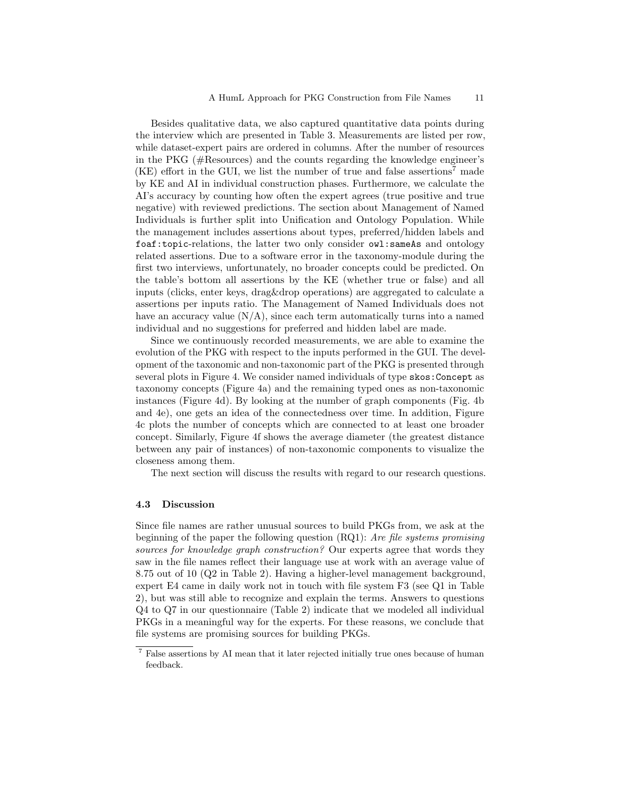Besides qualitative data, we also captured quantitative data points during the interview which are presented in Table [3.](#page-11-0) Measurements are listed per row, while dataset-expert pairs are ordered in columns. After the number of resources in the PKG (#Resources) and the counts regarding the knowledge engineer's  $(KE)$  effort in the GUI, we list the number of true and false assertions<sup>[7](#page-10-1)</sup> made by KE and AI in individual construction phases. Furthermore, we calculate the AI's accuracy by counting how often the expert agrees (true positive and true negative) with reviewed predictions. The section about Management of Named Individuals is further split into Unification and Ontology Population. While the management includes assertions about types, preferred/hidden labels and foaf:topic-relations, the latter two only consider owl:sameAs and ontology related assertions. Due to a software error in the taxonomy-module during the first two interviews, unfortunately, no broader concepts could be predicted. On the table's bottom all assertions by the KE (whether true or false) and all inputs (clicks, enter keys, drag&drop operations) are aggregated to calculate a assertions per inputs ratio. The Management of Named Individuals does not have an accuracy value  $(N/A)$ , since each term automatically turns into a named individual and no suggestions for preferred and hidden label are made.

Since we continuously recorded measurements, we are able to examine the evolution of the PKG with respect to the inputs performed in the GUI. The development of the taxonomic and non-taxonomic part of the PKG is presented through several plots in Figure [4.](#page-12-0) We consider named individuals of type skos:Concept as taxonomy concepts (Figure [4a\)](#page-12-0) and the remaining typed ones as non-taxonomic instances (Figure [4d\)](#page-12-0). By looking at the number of graph components (Fig. [4b](#page-12-0) and [4e\)](#page-12-0), one gets an idea of the connectedness over time. In addition, Figure [4c](#page-12-0) plots the number of concepts which are connected to at least one broader concept. Similarly, Figure [4f](#page-12-0) shows the average diameter (the greatest distance between any pair of instances) of non-taxonomic components to visualize the closeness among them.

The next section will discuss the results with regard to our research questions.

## <span id="page-10-0"></span>4.3 Discussion

Since file names are rather unusual sources to build PKGs from, we ask at the beginning of the paper the following question (RQ1): Are file systems promising sources for knowledge graph construction? Our experts agree that words they saw in the file names reflect their language use at work with an average value of 8.75 out of 10 (Q2 in Table [2\)](#page-9-1). Having a higher-level management background, expert E4 came in daily work not in touch with file system F3 (see Q1 in Table [2\)](#page-9-1), but was still able to recognize and explain the terms. Answers to questions Q4 to Q7 in our questionnaire (Table [2\)](#page-9-1) indicate that we modeled all individual PKGs in a meaningful way for the experts. For these reasons, we conclude that file systems are promising sources for building PKGs.

<span id="page-10-1"></span> $^7$  False assertions by AI mean that it later rejected initially true ones because of human feedback.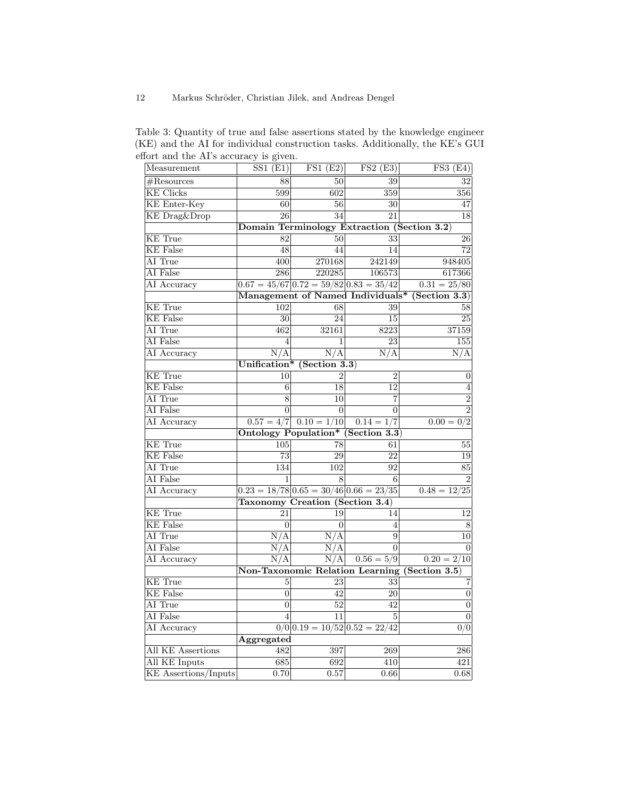<span id="page-11-0"></span>Table 3: Quantity of true and false assertions stated by the knowledge engineer (KE) and the AI for individual construction tasks. Additionally, the KE's GUI effort and the AI's accuracy is given.

| Measurement                 | SS1(E1)                                        | FS1(E2)                         | FS2(E3)                                            | $\overline{\text{FS3 (E4)}}$                  |  |  |  |  |  |
|-----------------------------|------------------------------------------------|---------------------------------|----------------------------------------------------|-----------------------------------------------|--|--|--|--|--|
| $#$ Resources               | 88                                             | 50                              | 39                                                 | 32                                            |  |  |  |  |  |
| <b>KE</b> Clicks            | 599                                            | 602                             | 359                                                | 356                                           |  |  |  |  |  |
| <b>KE</b> Enter-Key         | 60                                             | 56                              | 30                                                 | 47                                            |  |  |  |  |  |
| <b>KE</b> Drag&Drop         | $\overline{26}$                                | $\overline{34}$                 | $\overline{21}$                                    | 18                                            |  |  |  |  |  |
|                             | Domain Terminology Extraction (Section 3.2)    |                                 |                                                    |                                               |  |  |  |  |  |
| <b>KE</b> True              | 82                                             | 50 <sup>1</sup>                 | 33                                                 | 26                                            |  |  |  |  |  |
| <b>KE</b> False             | 48                                             | 44                              | 14                                                 | 72                                            |  |  |  |  |  |
| AI True                     | 400                                            | 270168                          | 242149                                             | 948405                                        |  |  |  |  |  |
| AI False                    | 286                                            | 220285                          | 106573                                             | 617366                                        |  |  |  |  |  |
| AI Accuracy                 |                                                |                                 | $0.67 = 45/67   0.72 = 59/82   0.83 = 35/42$       | $0.31 = 25/80$                                |  |  |  |  |  |
|                             | Management of Named Individuals* (Section 3.3) |                                 |                                                    |                                               |  |  |  |  |  |
| <b>KE</b> True              | 102                                            | 68                              | 39                                                 | 58                                            |  |  |  |  |  |
| <b>KE</b> False             | 30                                             | 24                              | 15                                                 | 25                                            |  |  |  |  |  |
| AI True                     | 462                                            | 32161                           | 8223                                               | 37159                                         |  |  |  |  |  |
| AI False                    | 4                                              | 1                               | 23                                                 | 155                                           |  |  |  |  |  |
| AI Accuracy                 | N/A                                            | N/A                             | N/A                                                | N/A                                           |  |  |  |  |  |
|                             |                                                | Unification* (Section 3.3)      |                                                    |                                               |  |  |  |  |  |
| <b>KE</b> True              | 10                                             | 2                               | $\overline{2}$                                     | $\boldsymbol{0}$                              |  |  |  |  |  |
| <b>KE</b> False             | 6                                              | 18                              | 12                                                 | $\overline{4}$                                |  |  |  |  |  |
| AI True                     | 8                                              | 10                              | 7                                                  | $\overline{2}$                                |  |  |  |  |  |
| AI False                    | $\overline{0}$                                 | $\overline{0}$                  | $\overline{0}$                                     | $\overline{2}$                                |  |  |  |  |  |
| AI Accuracy                 |                                                | $0.57 = 4/7$ $0.10 = 1/10$      | $0.14 = 1/7$                                       | $0.00 = 0/2$                                  |  |  |  |  |  |
|                             |                                                |                                 | Ontology Population* (Section 3.3)                 |                                               |  |  |  |  |  |
| <b>KE</b> True              | 105                                            | 78                              | 61                                                 | 55                                            |  |  |  |  |  |
| <b>KE</b> False             | 73                                             | 29                              | 22                                                 | 19                                            |  |  |  |  |  |
| AI True                     | 134                                            | 102                             | 92                                                 | 85                                            |  |  |  |  |  |
| AI False                    | 1                                              | 8                               | 6                                                  | $\overline{2}$                                |  |  |  |  |  |
| AI Accuracy                 |                                                |                                 | $0.23 = 18/78 \mid 0.65 = 30/46 \mid 0.66 = 23/35$ | $0.48 = 12/25$                                |  |  |  |  |  |
|                             | Taxonomy Creation (Section 3.4)                |                                 |                                                    |                                               |  |  |  |  |  |
| <b>KE</b> True              | 21                                             | 19                              | 14                                                 | 12                                            |  |  |  |  |  |
| <b>KE</b> False             | $\overline{0}$                                 | $\overline{0}$                  | $\overline{4}$                                     | 8                                             |  |  |  |  |  |
| AI True                     | N/A                                            | $\overline{\text{N}}/\text{A}$  | 9                                                  | 10                                            |  |  |  |  |  |
| AI False                    | N/A                                            | N/A                             | $\Omega$                                           | $\Omega$                                      |  |  |  |  |  |
| AI Accuracy                 | N/A                                            | N/A                             | $0.56 = 5/9$                                       | $0.20 = 2/10$                                 |  |  |  |  |  |
|                             |                                                |                                 |                                                    | Non-Taxonomic Relation Learning (Section 3.5) |  |  |  |  |  |
| <b>KE</b> True              | 5                                              | 23                              | 33                                                 | 7                                             |  |  |  |  |  |
| <b>KE</b> False             | $\overline{0}$                                 | 42                              | 20                                                 | $\boldsymbol{0}$                              |  |  |  |  |  |
| AI True                     | $\overline{0}$                                 | 52                              | 42                                                 | $\overline{0}$                                |  |  |  |  |  |
| AI False                    | $\overline{4}$                                 | 11                              | 5                                                  | $\overline{0}$                                |  |  |  |  |  |
| AI Accuracy                 |                                                | $0/0 0.19 = 10/52 0.52 = 22/42$ |                                                    | 0/0                                           |  |  |  |  |  |
| Aggregated                  |                                                |                                 |                                                    |                                               |  |  |  |  |  |
| All KE Assertions           | 482                                            | 397                             | 269                                                | 286                                           |  |  |  |  |  |
| All KE Inputs               | 685                                            | 692                             | 410                                                | 421                                           |  |  |  |  |  |
| <b>KE</b> Assertions/Inputs | 0.70                                           | 0.57                            | 0.66                                               | 0.68                                          |  |  |  |  |  |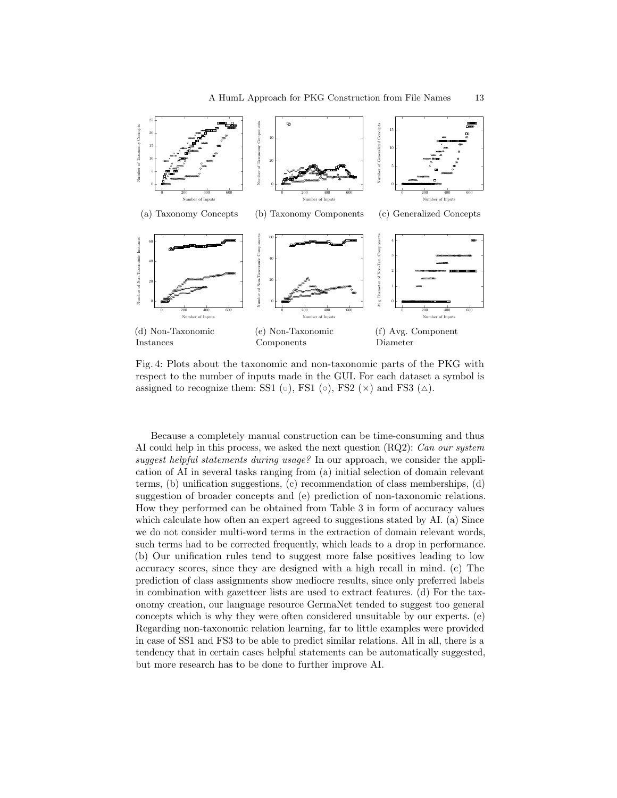<span id="page-12-0"></span>

Fig. 4: Plots about the taxonomic and non-taxonomic parts of the PKG with respect to the number of inputs made in the GUI. For each dataset a symbol is assigned to recognize them: SS1  $(\circ)$ , FS1  $(\circ)$ , FS2  $(\times)$  and FS3  $(\triangle)$ .

Because a completely manual construction can be time-consuming and thus AI could help in this process, we asked the next question (RQ2): Can our system suggest helpful statements during usage? In our approach, we consider the application of AI in several tasks ranging from (a) initial selection of domain relevant terms, (b) unification suggestions, (c) recommendation of class memberships, (d) suggestion of broader concepts and (e) prediction of non-taxonomic relations. How they performed can be obtained from Table [3](#page-11-0) in form of accuracy values which calculate how often an expert agreed to suggestions stated by AI. (a) Since we do not consider multi-word terms in the extraction of domain relevant words, such terms had to be corrected frequently, which leads to a drop in performance. (b) Our unification rules tend to suggest more false positives leading to low accuracy scores, since they are designed with a high recall in mind. (c) The prediction of class assignments show mediocre results, since only preferred labels in combination with gazetteer lists are used to extract features. (d) For the taxonomy creation, our language resource GermaNet tended to suggest too general concepts which is why they were often considered unsuitable by our experts. (e) Regarding non-taxonomic relation learning, far to little examples were provided in case of SS1 and FS3 to be able to predict similar relations. All in all, there is a tendency that in certain cases helpful statements can be automatically suggested, but more research has to be done to further improve AI.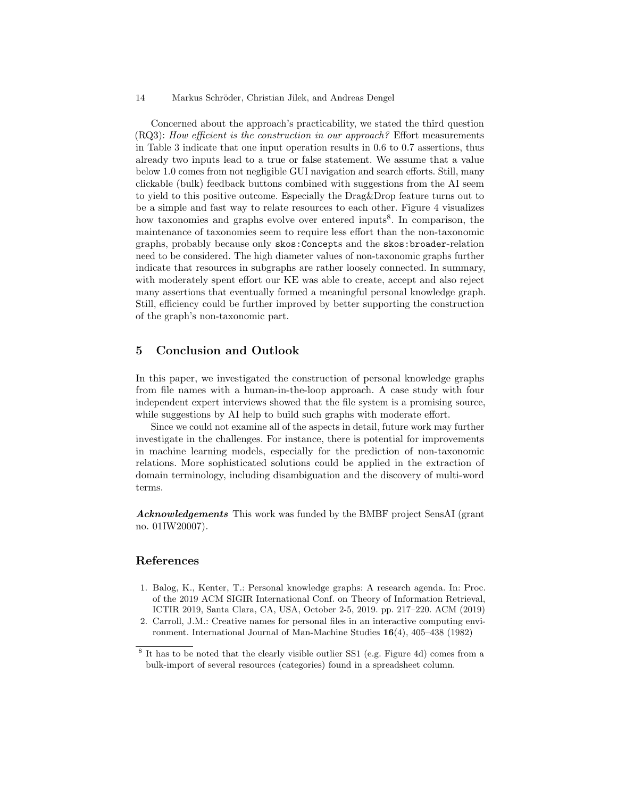Concerned about the approach's practicability, we stated the third question (RQ3): How efficient is the construction in our approach? Effort measurements in Table [3](#page-11-0) indicate that one input operation results in 0.6 to 0.7 assertions, thus already two inputs lead to a true or false statement. We assume that a value below 1.0 comes from not negligible GUI navigation and search efforts. Still, many clickable (bulk) feedback buttons combined with suggestions from the AI seem to yield to this positive outcome. Especially the Drag&Drop feature turns out to be a simple and fast way to relate resources to each other. Figure [4](#page-12-0) visualizes how taxonomies and graphs evolve over entered inputs<sup>[8](#page-13-3)</sup>. In comparison, the maintenance of taxonomies seem to require less effort than the non-taxonomic graphs, probably because only skos:Concepts and the skos:broader-relation need to be considered. The high diameter values of non-taxonomic graphs further indicate that resources in subgraphs are rather loosely connected. In summary, with moderately spent effort our KE was able to create, accept and also reject many assertions that eventually formed a meaningful personal knowledge graph. Still, efficiency could be further improved by better supporting the construction of the graph's non-taxonomic part.

# <span id="page-13-2"></span>5 Conclusion and Outlook

In this paper, we investigated the construction of personal knowledge graphs from file names with a human-in-the-loop approach. A case study with four independent expert interviews showed that the file system is a promising source, while suggestions by AI help to build such graphs with moderate effort.

Since we could not examine all of the aspects in detail, future work may further investigate in the challenges. For instance, there is potential for improvements in machine learning models, especially for the prediction of non-taxonomic relations. More sophisticated solutions could be applied in the extraction of domain terminology, including disambiguation and the discovery of multi-word terms.

Acknowledgements This work was funded by the BMBF project SensAI (grant no. 01IW20007).

# References

- <span id="page-13-0"></span>1. Balog, K., Kenter, T.: Personal knowledge graphs: A research agenda. In: Proc. of the 2019 ACM SIGIR International Conf. on Theory of Information Retrieval, ICTIR 2019, Santa Clara, CA, USA, October 2-5, 2019. pp. 217–220. ACM (2019)
- <span id="page-13-1"></span>2. Carroll, J.M.: Creative names for personal files in an interactive computing environment. International Journal of Man-Machine Studies 16(4), 405–438 (1982)

<span id="page-13-3"></span><sup>&</sup>lt;sup>8</sup> It has to be noted that the clearly visible outlier SS1 (e.g. Figure [4d\)](#page-12-0) comes from a bulk-import of several resources (categories) found in a spreadsheet column.